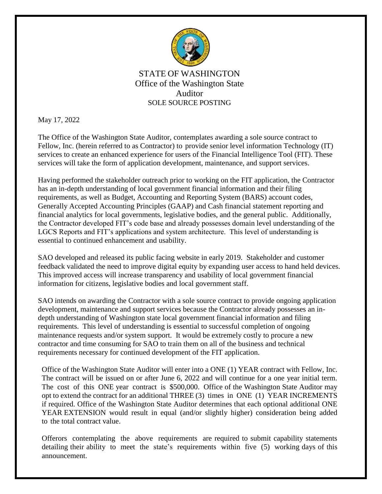

## STATE OF WASHINGTON Office of the Washington State Auditor SOLE SOURCE POSTING

May 17, 2022

The Office of the Washington State Auditor, contemplates awarding a sole source contract to Fellow, Inc. (herein referred to as Contractor) to provide senior level information Technology (IT) services to create an enhanced experience for users of the Financial Intelligence Tool (FIT). These services will take the form of application development, maintenance, and support services.

Having performed the stakeholder outreach prior to working on the FIT application, the Contractor has an in-depth understanding of local government financial information and their filing requirements, as well as Budget, Accounting and Reporting System (BARS) account codes, Generally Accepted Accounting Principles (GAAP) and Cash financial statement reporting and financial analytics for local governments, legislative bodies, and the general public. Additionally, the Contractor developed FIT's code base and already possesses domain level understanding of the LGCS Reports and FIT's applications and system architecture. This level of understanding is essential to continued enhancement and usability.

SAO developed and released its public facing website in early 2019. Stakeholder and customer feedback validated the need to improve digital equity by expanding user access to hand held devices. This improved access will increase transparency and usability of local government financial information for citizens, legislative bodies and local government staff.

SAO intends on awarding the Contractor with a sole source contract to provide ongoing application development, maintenance and support services because the Contractor already possesses an indepth understanding of Washington state local government financial information and filing requirements. This level of understanding is essential to successful completion of ongoing maintenance requests and/or system support. It would be extremely costly to procure a new contractor and time consuming for SAO to train them on all of the business and technical requirements necessary for continued development of the FIT application.

Office of the Washington State Auditor will enter into a ONE (1) YEAR contract with Fellow, Inc. The contract will be issued on or after June 6, 2022 and will continue for a one year initial term. The cost of this ONE year contract is \$500,000. Office of the Washington State Auditor may opt to extend the contract for an additional THREE (3) times in ONE (1) YEAR INCREMENTS if required. Office of the Washington State Auditor determines that each optional additional ONE YEAR EXTENSION would result in equal (and/or slightly higher) consideration being added to the total contract value.

Offerors contemplating the above requirements are required to submit capability statements detailing their ability to meet the state's requirements within five (5) working days of this announcement.